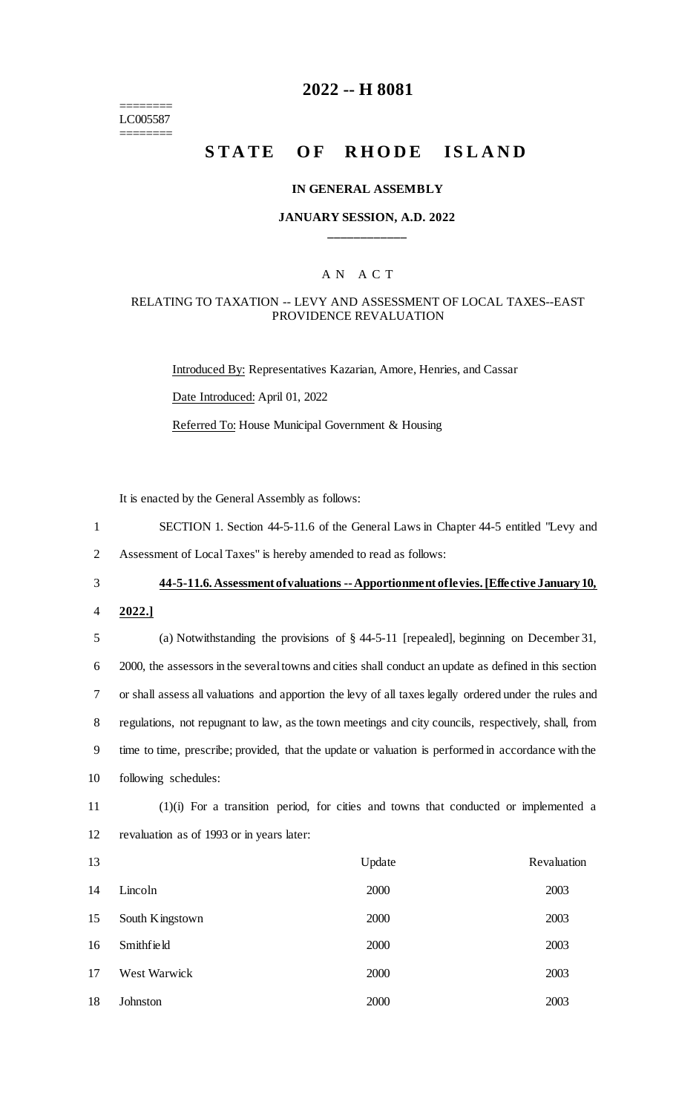======== LC005587 ========

# **2022 -- H 8081**

# **STATE OF RHODE ISLAND**

#### **IN GENERAL ASSEMBLY**

### **JANUARY SESSION, A.D. 2022 \_\_\_\_\_\_\_\_\_\_\_\_**

### A N A C T

#### RELATING TO TAXATION -- LEVY AND ASSESSMENT OF LOCAL TAXES--EAST PROVIDENCE REVALUATION

Introduced By: Representatives Kazarian, Amore, Henries, and Cassar Date Introduced: April 01, 2022 Referred To: House Municipal Government & Housing

It is enacted by the General Assembly as follows:

- 1 SECTION 1. Section 44-5-11.6 of the General Laws in Chapter 44-5 entitled "Levy and
- 2 Assessment of Local Taxes" is hereby amended to read as follows:
- 

#### 3 **44-5-11.6. Assessment of valuations --Apportionment of levies. [Effective January 10,**

4 **2022.]**

 (a) Notwithstanding the provisions of § 44-5-11 [repealed], beginning on December 31, 2000, the assessors in the several towns and cities shall conduct an update as defined in this section or shall assess all valuations and apportion the levy of all taxes legally ordered under the rules and regulations, not repugnant to law, as the town meetings and city councils, respectively, shall, from time to time, prescribe; provided, that the update or valuation is performed in accordance with the following schedules:

11 (1)(i) For a transition period, for cities and towns that conducted or implemented a 12 revaluation as of 1993 or in years later:

| 13 |                 | Update | Revaluation |
|----|-----------------|--------|-------------|
| 14 | Lincoln         | 2000   | 2003        |
| 15 | South Kingstown | 2000   | 2003        |
| 16 | Smithfield      | 2000   | 2003        |
| 17 | West Warwick    | 2000   | 2003        |
| 18 | Johnston        | 2000   | 2003        |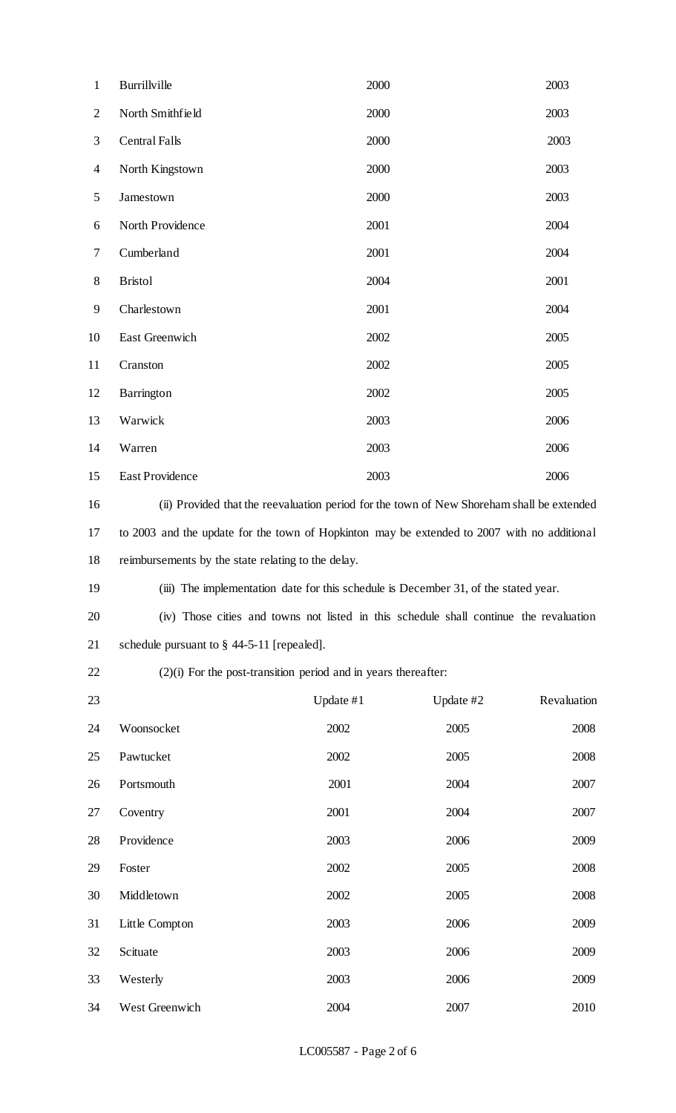| $\mathbf{1}$   | Burrillville                                                                                | 2000      |           | 2003        |  |
|----------------|---------------------------------------------------------------------------------------------|-----------|-----------|-------------|--|
| $\mathbf{2}$   | North Smithfield                                                                            | 2000      |           | 2003        |  |
| 3              | <b>Central Falls</b>                                                                        | 2000      |           | 2003        |  |
| $\overline{4}$ | North Kingstown                                                                             | 2000      |           | 2003        |  |
| 5              | Jamestown                                                                                   | 2000      |           | 2003        |  |
| 6              | North Providence                                                                            | 2001      |           | 2004        |  |
| $\tau$         | Cumberland                                                                                  | 2001      |           | 2004        |  |
| $8\,$          | <b>Bristol</b>                                                                              | 2004      |           | 2001        |  |
| 9              | Charlestown                                                                                 | 2001      |           | 2004        |  |
| 10             | East Greenwich                                                                              | 2002      |           | 2005        |  |
| 11             | Cranston                                                                                    | 2002      |           | 2005        |  |
| 12             | Barrington                                                                                  | 2002      |           | 2005        |  |
| 13             | Warwick                                                                                     | 2003      |           | 2006        |  |
| 14             | Warren                                                                                      | 2003      |           | 2006        |  |
| 15             | East Providence                                                                             | 2003      |           | 2006        |  |
| 16             | (ii) Provided that the reevaluation period for the town of New Shoreham shall be extended   |           |           |             |  |
| 17             | to 2003 and the update for the town of Hopkinton may be extended to 2007 with no additional |           |           |             |  |
| 18             | reimbursements by the state relating to the delay.                                          |           |           |             |  |
| 19             | (iii) The implementation date for this schedule is December 31, of the stated year.         |           |           |             |  |
| 20             | (iv) Those cities and towns not listed in this schedule shall continue the revaluation      |           |           |             |  |
| 21             | schedule pursuant to $\S$ 44-5-11 [repealed].                                               |           |           |             |  |
| 22             | $(2)(i)$ For the post-transition period and in years thereafter:                            |           |           |             |  |
| 23             |                                                                                             | Update #1 | Update #2 | Revaluation |  |
| 24             | Woonsocket                                                                                  | 2002      | 2005      | 2008        |  |
| 25             | Pawtucket                                                                                   | 2002      | 2005      | 2008        |  |
| 26             | Portsmouth                                                                                  | 2001      | 2004      | 2007        |  |
| 27             | Coventry                                                                                    | 2001      | 2004      | 2007        |  |
| 28             | Providence                                                                                  | 2003      | 2006      | 2009        |  |
| 29             | Foster                                                                                      | 2002      | 2005      | 2008        |  |
| 30             | Middletown                                                                                  | 2002      | 2005      | 2008        |  |
| 31             | Little Compton                                                                              | 2003      | 2006      | 2009        |  |
| 32             | Scituate                                                                                    | 2003      | 2006      | 2009        |  |
| 33             | Westerly                                                                                    | 2003      | 2006      | 2009        |  |
| 34             | West Greenwich                                                                              | 2004      | 2007      | 2010        |  |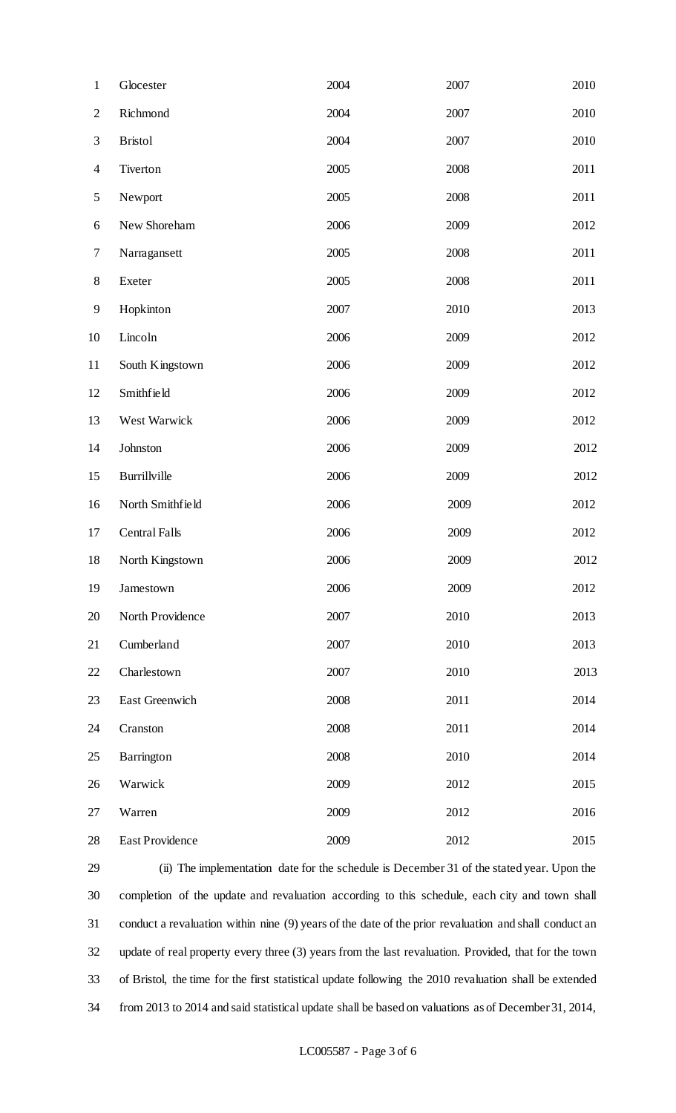| $\mathbf{1}$   | Glocester              | 2004 | 2007 | 2010 |
|----------------|------------------------|------|------|------|
| $\mathbf{2}$   | Richmond               | 2004 | 2007 | 2010 |
| 3              | <b>Bristol</b>         | 2004 | 2007 | 2010 |
| $\overline{4}$ | Tiverton               | 2005 | 2008 | 2011 |
| $\mathfrak s$  | Newport                | 2005 | 2008 | 2011 |
| 6              | New Shoreham           | 2006 | 2009 | 2012 |
| 7              | Narragansett           | 2005 | 2008 | 2011 |
| $8\,$          | Exeter                 | 2005 | 2008 | 2011 |
| 9              | Hopkinton              | 2007 | 2010 | 2013 |
| 10             | Lincoln                | 2006 | 2009 | 2012 |
| 11             | South Kingstown        | 2006 | 2009 | 2012 |
| 12             | Smithfield             | 2006 | 2009 | 2012 |
| 13             | West Warwick           | 2006 | 2009 | 2012 |
| 14             | Johnston               | 2006 | 2009 | 2012 |
| 15             | Burrillville           | 2006 | 2009 | 2012 |
| 16             | North Smithfield       | 2006 | 2009 | 2012 |
| 17             | <b>Central Falls</b>   | 2006 | 2009 | 2012 |
| 18             | North Kingstown        | 2006 | 2009 | 2012 |
| 19             | Jamestown              | 2006 | 2009 | 2012 |
| 20             | North Providence       | 2007 | 2010 | 2013 |
| 21             | Cumberland             | 2007 | 2010 | 2013 |
| 22             | Charlestown            | 2007 | 2010 | 2013 |
| 23             | East Greenwich         | 2008 | 2011 | 2014 |
| 24             | Cranston               | 2008 | 2011 | 2014 |
| 25             | Barrington             | 2008 | 2010 | 2014 |
| 26             | Warwick                | 2009 | 2012 | 2015 |
| 27             | Warren                 | 2009 | 2012 | 2016 |
| 28             | <b>East Providence</b> | 2009 | 2012 | 2015 |

 (ii) The implementation date for the schedule is December 31 of the stated year. Upon the completion of the update and revaluation according to this schedule, each city and town shall conduct a revaluation within nine (9) years of the date of the prior revaluation and shall conduct an update of real property every three (3) years from the last revaluation. Provided, that for the town of Bristol, the time for the first statistical update following the 2010 revaluation shall be extended from 2013 to 2014 and said statistical update shall be based on valuations as of December 31, 2014,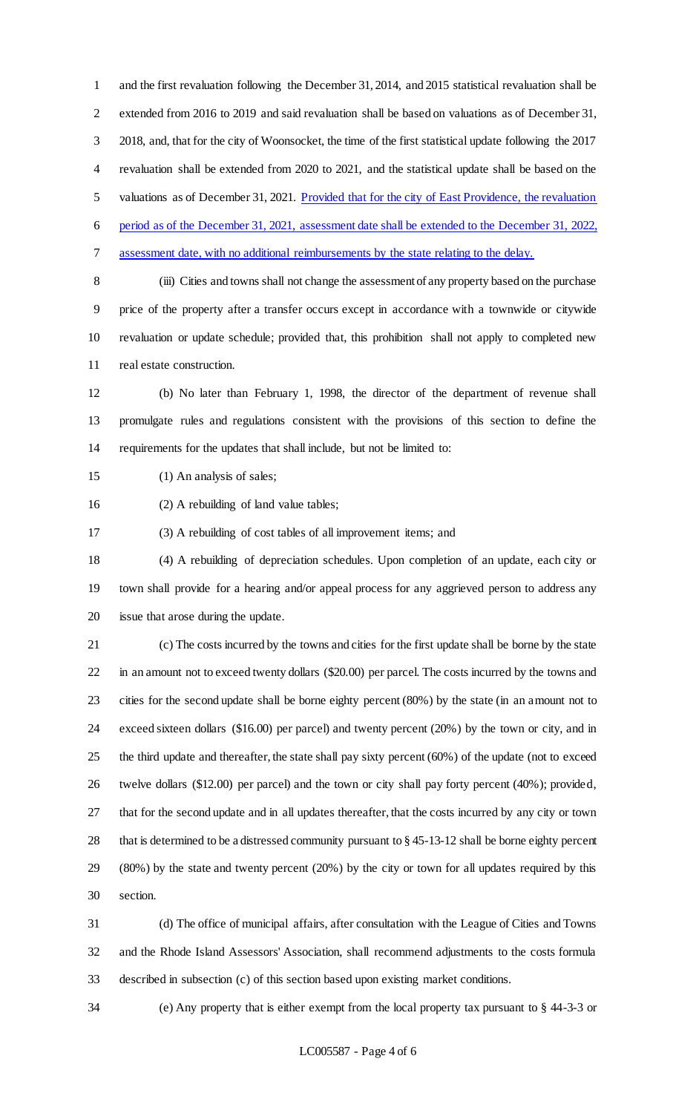and the first revaluation following the December 31, 2014, and 2015 statistical revaluation shall be extended from 2016 to 2019 and said revaluation shall be based on valuations as of December 31, 2018, and, that for the city of Woonsocket, the time of the first statistical update following the 2017 revaluation shall be extended from 2020 to 2021, and the statistical update shall be based on the valuations as of December 31, 2021. Provided that for the city of East Providence, the revaluation period as of the December 31, 2021, assessment date shall be extended to the December 31, 2022, assessment date, with no additional reimbursements by the state relating to the delay. (iii) Cities and towns shall not change the assessment of any property based on the purchase price of the property after a transfer occurs except in accordance with a townwide or citywide

 revaluation or update schedule; provided that, this prohibition shall not apply to completed new real estate construction.

 (b) No later than February 1, 1998, the director of the department of revenue shall promulgate rules and regulations consistent with the provisions of this section to define the requirements for the updates that shall include, but not be limited to:

(1) An analysis of sales;

(2) A rebuilding of land value tables;

(3) A rebuilding of cost tables of all improvement items; and

 (4) A rebuilding of depreciation schedules. Upon completion of an update, each city or town shall provide for a hearing and/or appeal process for any aggrieved person to address any issue that arose during the update.

 (c) The costs incurred by the towns and cities for the first update shall be borne by the state in an amount not to exceed twenty dollars (\$20.00) per parcel. The costs incurred by the towns and cities for the second update shall be borne eighty percent (80%) by the state (in an amount not to exceed sixteen dollars (\$16.00) per parcel) and twenty percent (20%) by the town or city, and in the third update and thereafter, the state shall pay sixty percent (60%) of the update (not to exceed twelve dollars (\$12.00) per parcel) and the town or city shall pay forty percent (40%); provided, that for the second update and in all updates thereafter, that the costs incurred by any city or town that is determined to be a distressed community pursuant to § 45-13-12 shall be borne eighty percent (80%) by the state and twenty percent (20%) by the city or town for all updates required by this section.

 (d) The office of municipal affairs, after consultation with the League of Cities and Towns and the Rhode Island Assessors' Association, shall recommend adjustments to the costs formula described in subsection (c) of this section based upon existing market conditions.

(e) Any property that is either exempt from the local property tax pursuant to § 44-3-3 or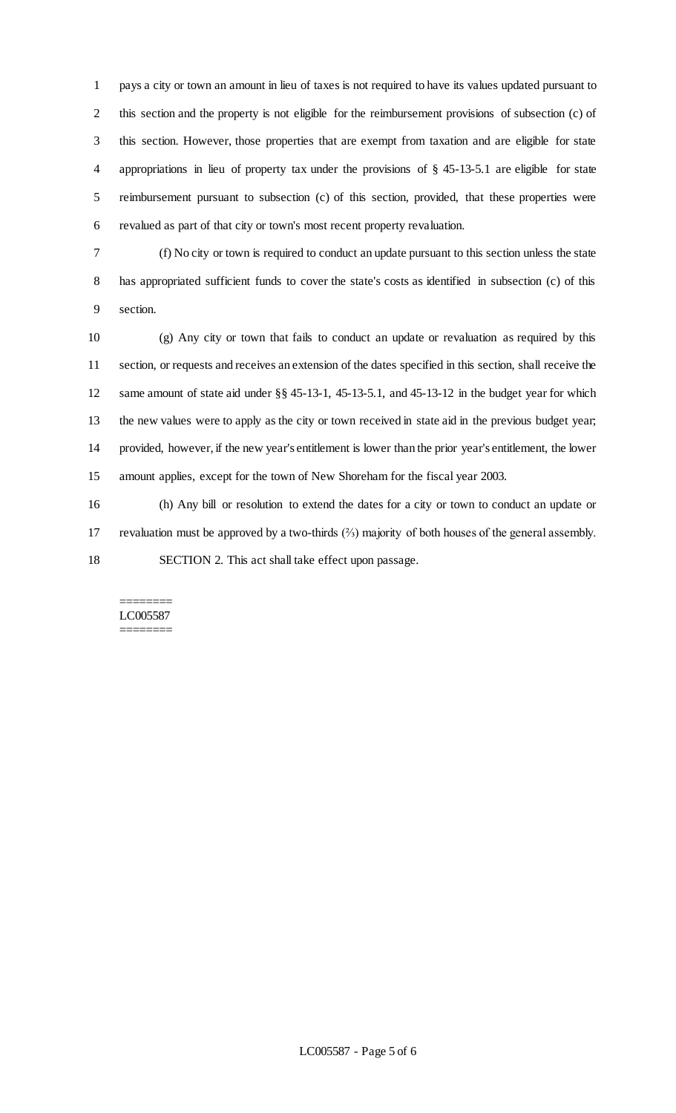pays a city or town an amount in lieu of taxes is not required to have its values updated pursuant to this section and the property is not eligible for the reimbursement provisions of subsection (c) of this section. However, those properties that are exempt from taxation and are eligible for state appropriations in lieu of property tax under the provisions of § 45-13-5.1 are eligible for state reimbursement pursuant to subsection (c) of this section, provided, that these properties were revalued as part of that city or town's most recent property revaluation.

 (f) No city or town is required to conduct an update pursuant to this section unless the state has appropriated sufficient funds to cover the state's costs as identified in subsection (c) of this section.

 (g) Any city or town that fails to conduct an update or revaluation as required by this section, or requests and receives an extension of the dates specified in this section, shall receive the same amount of state aid under §§ 45-13-1, 45-13-5.1, and 45-13-12 in the budget year for which the new values were to apply as the city or town received in state aid in the previous budget year; provided, however, if the new year's entitlement is lower than the prior year's entitlement, the lower amount applies, except for the town of New Shoreham for the fiscal year 2003.

 (h) Any bill or resolution to extend the dates for a city or town to conduct an update or revaluation must be approved by a two-thirds (⅔) majority of both houses of the general assembly. SECTION 2. This act shall take effect upon passage.

#### ======== LC005587 ========